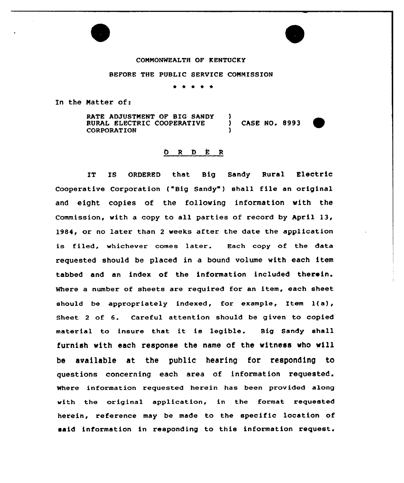### CONNONNEALTH OF KENTUCKY

### BEFORE THE PUBLIC SERVICE CONNISSION

\* \* \* \* \*

In the Natter of:

RATE ADJUSTMENT OF BIG SANDY )<br>RURAL ELECTRIC COOPERATIVE ) RURAL ELECTRIC COOPERATIVE ) CASE NO. 8993 **CORPORATION** 



### b R D E R

IT IS ORDERED that Big Sandy Rural Electric Cooperative Corporation ("Big Sandy" ) shall file an original and eight copies of the following information vith the Commission, with a copy to all parties of record by April 13, 1984, or no later than <sup>2</sup> weeks after the date the application is filed, whichever comes later. Each copy of the data requested should be placed in a bound volume with each item tabbed and an index of the information included therein. Where a number of sheets are required for an item, each sheet should be appropriately indexed, for example, Item l(a), Sheet <sup>2</sup> of 6. Careful attention should be given to copied material to insure that it is legible. Big Sandy shall furnish with each response the name of the witness who vill be available at the public hearing for responding to questions concerning each area of information requested. Where information requested herein has been provided along with the original application, in the format requested herein, reference may be made to the specific location of said information in responding to this information request.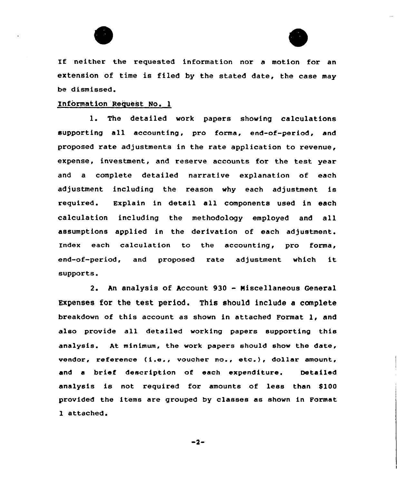



If neither the requested information nor <sup>a</sup> motion for an extension of time is filed by the stated date, the case may be dismissed.

### Information Request No. 1

1. The detailed work papers showing calculations supporting all accounting, pro forma, end-of-period, and proposed rate adjustments in the rate application to revenue, expense, investment, and reserve accounts for the test year and a complete detailed narrative explanation of each adjustment including the reason why each adjustment is required. Explain in detail all components used in each calculation including the methodology employed and all assumptions applied in the derivation of each adjustment. Index each calculation to the accounting, pro forma, end-of-period, and proposed rate adjustment which it supports.

2. An analysis of Account <sup>930</sup> - Miscellaneous General Expenses for the test period. This should include a complete breakdown of this account as shown in attached Format 1, and also provide all detailed working papers supporting this analysis. At minimum, the work papers should show the date, vendor, reference (i.e., voucher no., etc.), dollar amount, and a brief description of each expenditure. Detailed analysis is not required for amounts of less than \$100 provided the items are grouped by classes as shown in Format 1 attached.

 $-2-$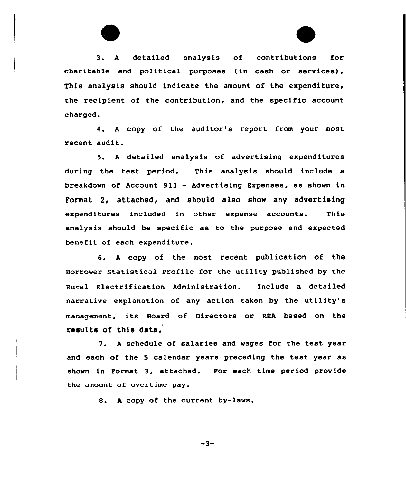3. <sup>A</sup> detailed analysis of contributions for charitable and political purposes (in cash or services). This analysis should indicate the amount of the expenditure, the recipient of the contribution, and the specific account charged.

4. <sup>A</sup> copy of the auditor's report from your most recent audit.

5. <sup>A</sup> detailed analysis of advertising expenditures during the test period. This analysis should include a breakdown of Account 9l3 - Advertising Expenses, as shown in Format 2, attached, and should also show any advertising expenditures included in other expense accounts. This analysis should be specific as to the purpose and expected benefit of each expenditure.

6. <sup>A</sup> copy of the most recent publication of the Borrower Statistical Profile for the utility published by the Rural Electrification Administration. Include a detailed narrative explanation of any action taken by the utility's management, its Board of Directors or REA based on the results of this data.

7. <sup>A</sup> schedule of salaries and wages for the test year and each of the <sup>5</sup> calendar years preceding the test year as shown in Format 3, attached. Por each time period provide the amount of overtime pay.

8. <sup>A</sup> copy of the current by-laws.

-3-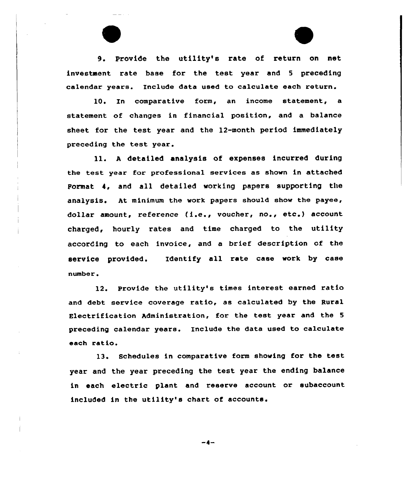9. Provide the utility's rate of return on net investment rate base for the test year and <sup>5</sup> preceding calendar years. Include data used to calculate each return.

10. In comparative form, an income statement, a statement of changes in financial position, and a balance sheet for the test year and the 12-month period immediately preceding the test year.

11. <sup>A</sup> detailed analysis of expenses incurred during the test year for professional services as shown in attached Format 4, and all detailed working papers supporting the analysis. At minimum the work papers should show the payee, dollar amount, reference (i.e., voucher, no., etc.) account charged, hourly rates and time charged to the utility according to each invoice, and a brief description of the service provided. Identify all rate case work by case number.

12. Provide the utility's times interest earned ratio and debt service coverage ratio, as calculated by the Rural Electrification Administration, for the test year and the <sup>5</sup> preceding calendar years. Include the data used to calculate each ratio.

13. Schedules in comparative form showing for the test year and the year preceding the test year the ending balance in each electric plant and reserve account or subaccount included in the utility's chart of accounts.

 $-4-$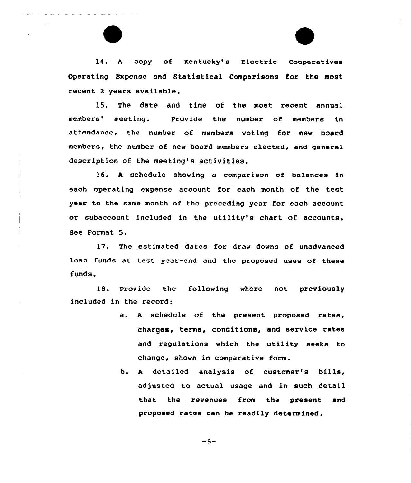14. <sup>A</sup> copy of Kentucky's Electric Cooperatives Operating Expense and Statistical Comparisons for the most recent <sup>2</sup> years available.

15. The date and time of the most recent annual members' meeting. Provide the number of members in attendance, the number of members voting for new board members, the number of new board members elected, and general description of the meeting's activities.

16. <sup>A</sup> schedule showing a comparison of balances in each operating expense account for each month of the test year to the same month of the preceding year for each account or subaccount included in the utility's chart of accounts. See Format 5.

17. The estimated dates for draw downs of unadvanced loan funds at test year-end and the proposed uses of these funds.

18. Provide the following where not previously included in the record:

- a. <sup>A</sup> schedule of the present proposed rates, charges, terms, conditions, and service rates and regulations which the utility seeks to change, shown in comparative form.
- b. <sup>A</sup> detailed analysis of customer's bills, adjusted to actual usage and in such detail that the revenues from the present and proposed rates can be readily determined.

$$
-5-
$$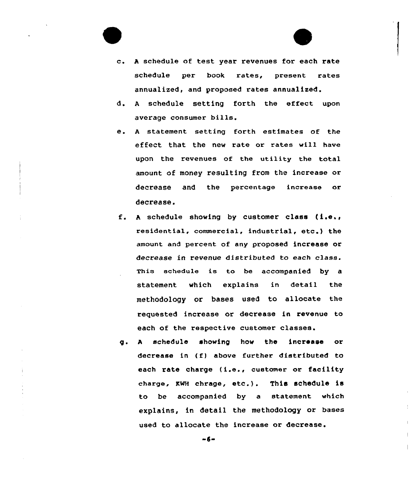

- d. <sup>A</sup> schedule setting forth the effect upon average consumer bills.
- e. <sup>A</sup> statement setting forth estimates of the effect that the new rate or rates will have upon the revenues of the utility the total amount of money resulting from the increase or decrease and the percentage increase or decrease.
- f. <sup>A</sup> schedule showing by customer class {i.e., residential, commercial, industrial, etc.) the amount and percent of any proposed increase or decrease in revenue distributed to each class. This schedule is to be accompanied by a statement which explains in detail the methodology or bases used to allocate the requested increase or decrease in revenue to each of the respective customer classes.
- g. <sup>A</sup> schedule showing how the increase or decrease in (f) above further distributed to each rate charge (i.e., customer or facility charge, KNH chrage, etc.). This schedule is to be accompanied by a statement which explains, in detail the methodology or bases used to allocate the increase or decrease.

 $-6-$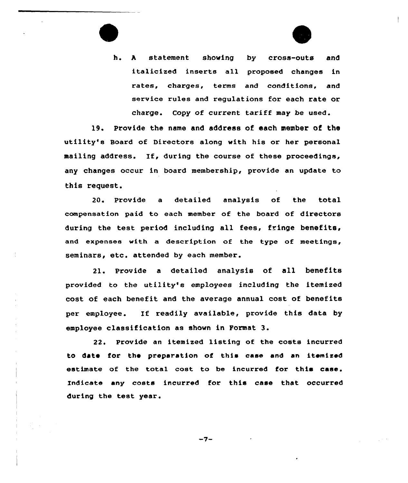

h. <sup>A</sup> statement showing by cross-outs and italicized inserts all proposed changes in rates, charges, terms and conditions, and service rules and regulations for each rate or charge. Copy of current tariff may be used.

19. Provide the name and address of each member of the utility's Board of Directors along with his or her personal mailing address. If, during the course of these proceedings, any changes occur in board membership, provide an update to this request.

20. Provide a detailed analysis of the total compensation paid to each member of the board of directors during the test period including all fees, fringe benefits, and expenses with a description of the type of meetings, seminars, etc. attended by each member.

21. Provide a detailed analysis of all benefits provided to the utility's employees including the itemized cost of each benefit and the average annual cost of benefits per employee. If readily available, provide this data by employee classification as shown in Format 3.

22. Provide an itemized listing of the costs incurred to date for the preparation of this case and an itemized estimate of the total cost to be incurred for this case. Indicate any costs incurred for this case that occurred during the test year.

-7-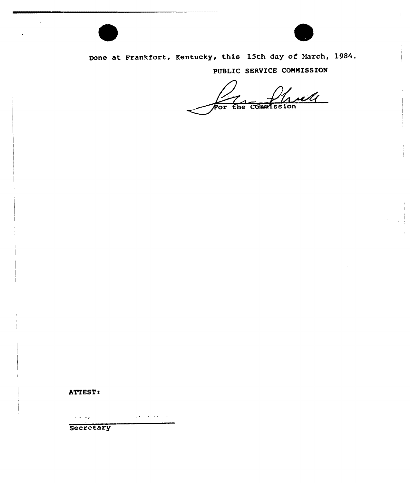

Done at Frankfort, Kentucky, this 15th day of March, 1984. PUBLIC SERVICE COMMISSION

with  $\overline{\mathcal{F}\text{or}}$ the Commission

### ATTEST:

 $\overline{\phantom{a}}$ 

والمحارب والمحاملة والمحجب والمراد والمتحارب والمتحال والمهاوية والمتحارب

Secretary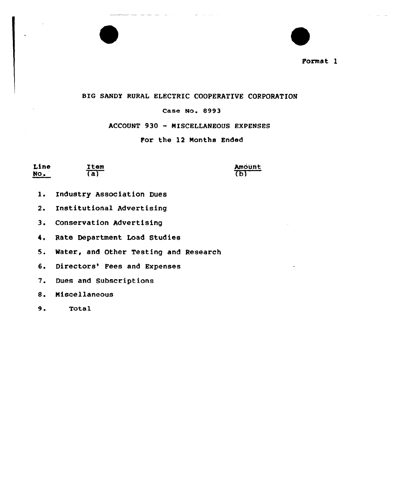

### BIG SANDY RURAL ELECTRIC COOPERATIVE CORPORATION

### Case No. 8993

### ACCOUNT 930 — MISCELLANEOUS EXPENSES

### For the 12 Months Ended

| Line                                                 | Item<br>the age addition for the company state of the c | Amount |
|------------------------------------------------------|---------------------------------------------------------|--------|
| <b>A</b> 1979<br>NO.<br>digregations military appear | a)                                                      | .b)    |

- 1. Industry Association Dues
- 2. Institutional Advertising
- 3, Conservation Advertising
- 4. Rate Department Load Studies

5. Mater, and Other Testing and Research

- 6. Directors' Fees and Expenses
- 7. Dues and Subscriptions
- 8. Miscellaneous
- 9. Total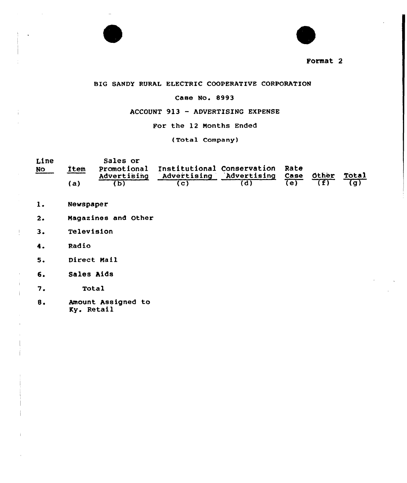



### BIG SANDY RURAL ELECTRIC COOPERATIVE CORPORATION

### Case No. 8993

### ACCOUNT 913 — ADVERTISING EXPENSE

For the 12 Months Ended

(Total Company)

| Line      |             | Sales or    |                                             |  |       |
|-----------|-------------|-------------|---------------------------------------------|--|-------|
| <b>NO</b> | <b>Item</b> |             | Promotional Institutional Conservation Rate |  |       |
|           |             | Advertising | Advertising Advertising Case Other          |  | Total |
|           | a)          |             |                                             |  |       |

- $1.$ Newspaper
- $2.$ Magazines and Other
- $3.$ Television
- $4.$ Radio

 $\mathcal{I}$ 

- 5. Direct Mail
- 6. Sales Aids
- 7. Total
- 8. Amount Assigned to Ky. Retail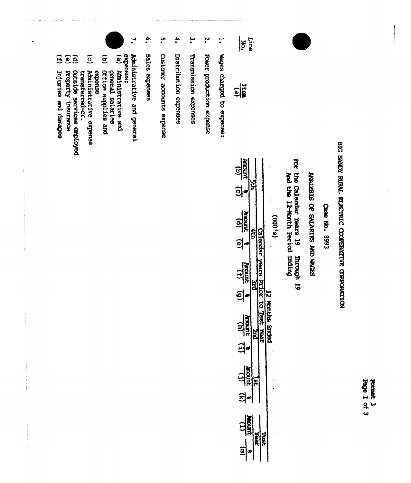**Page 1 of 3** Format 3

## BIG SANDY RURAL ELECTRIC COOPERATIVE CORPORATION

Cese No. 8993

SEDGA CINY SSIDING AO SISSIMAN

For the Calendar Years 19 Through 19 Through 19

 $(9,000)$ 

| <b>Lunous</b><br>$\tilde{\mathbf{z}}$<br>$\frac{1}{2}$ |                         |                |
|--------------------------------------------------------|-------------------------|----------------|
| $\frac{101}{4000}$<br><u>a</u>                         |                         | י<br>גאסי      |
| <b>Amoun</b><br>ر<br>ا                                 | 8<br>Bu<br><b>C10</b>   |                |
| $\frac{(1)}{2}$<br>3                                   | o<br>Sal<br><b>Yeal</b> | <b>Surface</b> |
| ξ<br>;                                                 |                         |                |
| <b>Auron</b><br>Í<br>Ē                                 |                         |                |

مبر<br>• Regies charged to expense: **Edite** 

 $\frac{1}{2}$ 

- $\boldsymbol{\tilde{\zeta}}$ Power production expense
- $\cdot$ Transnission expenses
- $\ddot{\phantom{a}}$ Distribution expenses
- ָ.<br>• Custaner accounts expense
- $\ddot{\bullet}$ Sales expenses
- $\ddot{\cdot}$ Administrative and general
- expenees:  $\overline{e}$ Aministrative and
- 
- $\widehat{g}$ general salaries<br>Office supplies and
- $\widehat{\Omega}$ Aministrative expense expense
- transferred-cr.
- $\widehat{a}$ ottside services employed
- property insurance
- $\ddot{e}$
- $\overline{1}$ rnjuries and danages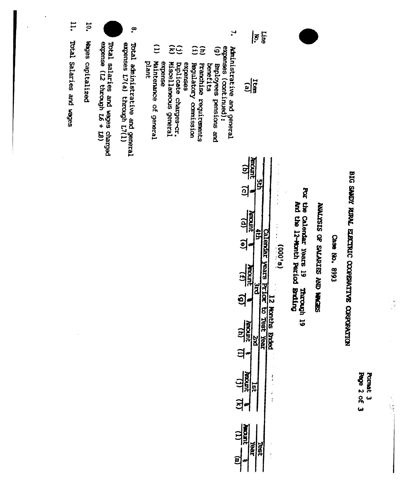

 $\ddot{\phantom{0}}$ 

C668 'ON est)

BIG SANDY RUPAL ELECTRIC COOPERATIVE CORPORATION

**Page 2 of 3** Format 3 **ANALYSIS OF SALARIES AND WAGES** 

Por the Calendar Years 19<br>hot the 12-Honth Period Briding **Drrough 19** 

 $(8,000)$ 

| I<br>$\tilde{\epsilon}$<br><u>ଗ୍ର</u> |     | 医心包 医心包 医心包 医心包 |
|---------------------------------------|-----|-----------------|
| $\mathbf{a}$<br>$\mathbf{e}$          |     |                 |
| $\frac{\sqrt{3}}{2}$<br>ō)            |     |                 |
| <b>There</b><br>$\frac{1}{2}$<br>ï    |     |                 |
| inan<br>$\sharp$<br>ξ                 |     | 医单体 医前缀         |
| ě                                     | res |                 |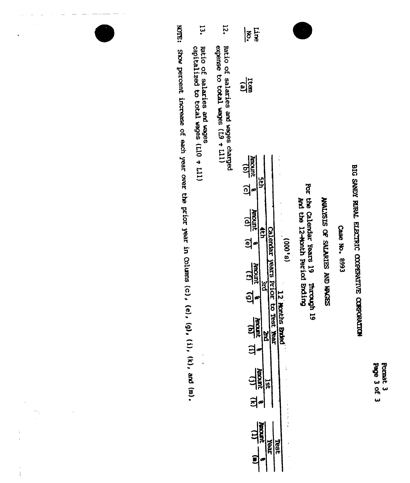Format 3<br>Page 3 of 3

### BIG SANDY RURAL ELECTRIC COOPERATIVE CORPORATION

Case No. 8993

### **NATISER OF SHARIES AND WOODS**

For the Calendar Years 19 mrouph 19<br>And the 12-Month Feriod Ending

| $\leq \frac{1}{2}$                                                                                                                              |                                                                                                 |
|-------------------------------------------------------------------------------------------------------------------------------------------------|-------------------------------------------------------------------------------------------------|
| 입                                                                                                                                               |                                                                                                 |
| Amount<br><u>ูล</u> ่<br>$\frac{10}{10004}$<br><u>ଶ</u><br><b>Juricult</b><br>$\overline{6}$<br><b>UPOUL</b><br>ă<br><b>UROOBY</b><br>а<br>TEÐ. | g<br>ø<br>rears<br><b>IOL</b><br>hs <b>Brded</b><br>đ<br>$\ddot{\phantom{0}}$<br>こうりょう くうき<br>đ |

- **12.** Ratio of salaries and wages charged<br>expense to total wages  $(1.9 * 1.1)$
- $13.$ Ratio of salaries and wages<br>capitalized to total wages (L10 + L11)

WOTE: Show percent increase of each year over the prior year in Colums (c), (e), (g), (i), (k), and (m).

 $\frac{1}{4}$ 

 $\hat{\mathbf{I}}$ 

 $\frac{1}{\sqrt{2}}$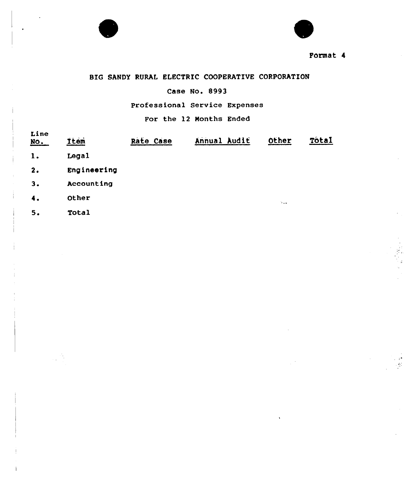



### BIG SANDY RURAL ELECTRIC COOPERATIVE CORPORATION

### Case No. 8993

Professional Service Expenses

### For the 12 Months Ended

| Line<br><u>No.</u> | <b>Item</b> | Rate Case | Annual Audit | Other                                            | Tôtal |
|--------------------|-------------|-----------|--------------|--------------------------------------------------|-------|
| 1.                 | Legal       |           |              |                                                  |       |
| 2.                 | Engineering |           |              |                                                  |       |
| 3.                 | Accounting  |           |              |                                                  |       |
| 4.                 | Other       |           |              | $\mathcal{H}_{\mathbf{a},\mathbf{a},\mathbf{b}}$ |       |
| 5.                 | Total       |           |              |                                                  |       |